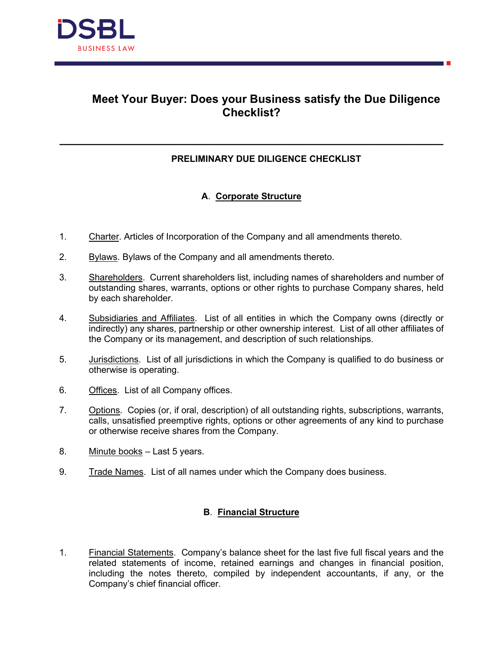

# **Meet Your Buyer: Does your Business satisfy the Due Diligence Checklist?**

### **PRELIMINARY DUE DILIGENCE CHECKLIST**

## **A**. **Corporate Structure**

**\_\_\_\_\_\_\_\_\_\_\_\_\_\_\_\_\_\_\_\_\_\_\_\_\_\_\_\_\_\_\_\_\_\_\_\_\_\_\_\_\_\_\_\_\_\_\_\_\_\_\_\_\_\_\_\_\_\_\_\_**

- 1. Charter. Articles of Incorporation of the Company and all amendments thereto.
- 2. Bylaws. Bylaws of the Company and all amendments thereto.
- 3. Shareholders. Current shareholders list, including names of shareholders and number of outstanding shares, warrants, options or other rights to purchase Company shares, held by each shareholder.
- 4. Subsidiaries and Affiliates. List of all entities in which the Company owns (directly or indirectly) any shares, partnership or other ownership interest. List of all other affiliates of the Company or its management, and description of such relationships.
- 5. Jurisdictions. List of all jurisdictions in which the Company is qualified to do business or otherwise is operating.
- 6. Offices. List of all Company offices.
- 7. Options. Copies (or, if oral, description) of all outstanding rights, subscriptions, warrants, calls, unsatisfied preemptive rights, options or other agreements of any kind to purchase or otherwise receive shares from the Company.
- 8. Minute books Last 5 years.
- 9. Trade Names. List of all names under which the Company does business.

### **B**. **Financial Structure**

1. Financial Statements. Company's balance sheet for the last five full fiscal years and the related statements of income, retained earnings and changes in financial position, including the notes thereto, compiled by independent accountants, if any, or the Company's chief financial officer.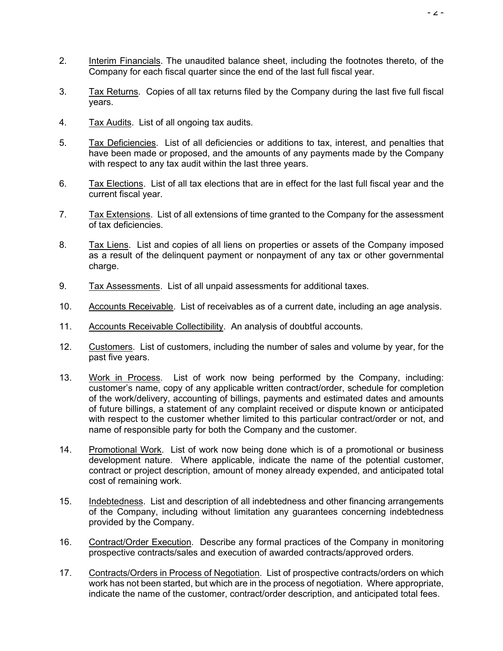- 2. Interim Financials. The unaudited balance sheet, including the footnotes thereto, of the Company for each fiscal quarter since the end of the last full fiscal year.
- 3. Tax Returns. Copies of all tax returns filed by the Company during the last five full fiscal years.
- 4. Tax Audits. List of all ongoing tax audits.
- 5. Tax Deficiencies. List of all deficiencies or additions to tax, interest, and penalties that have been made or proposed, and the amounts of any payments made by the Company with respect to any tax audit within the last three years.
- 6. Tax Elections. List of all tax elections that are in effect for the last full fiscal year and the current fiscal year.
- 7. Tax Extensions. List of all extensions of time granted to the Company for the assessment of tax deficiencies.
- 8. Tax Liens. List and copies of all liens on properties or assets of the Company imposed as a result of the delinquent payment or nonpayment of any tax or other governmental charge.
- 9. Tax Assessments. List of all unpaid assessments for additional taxes.
- 10. Accounts Receivable. List of receivables as of a current date, including an age analysis.
- 11. Accounts Receivable Collectibility. An analysis of doubtful accounts.
- 12. Customers. List of customers, including the number of sales and volume by year, for the past five years.
- 13. Work in Process. List of work now being performed by the Company, including: customer's name, copy of any applicable written contract/order, schedule for completion of the work/delivery, accounting of billings, payments and estimated dates and amounts of future billings, a statement of any complaint received or dispute known or anticipated with respect to the customer whether limited to this particular contract/order or not, and name of responsible party for both the Company and the customer.
- 14. Promotional Work. List of work now being done which is of a promotional or business development nature. Where applicable, indicate the name of the potential customer, contract or project description, amount of money already expended, and anticipated total cost of remaining work.
- 15. Indebtedness. List and description of all indebtedness and other financing arrangements of the Company, including without limitation any guarantees concerning indebtedness provided by the Company.
- 16. Contract/Order Execution. Describe any formal practices of the Company in monitoring prospective contracts/sales and execution of awarded contracts/approved orders.
- 17. Contracts/Orders in Process of Negotiation. List of prospective contracts/orders on which work has not been started, but which are in the process of negotiation. Where appropriate, indicate the name of the customer, contract/order description, and anticipated total fees.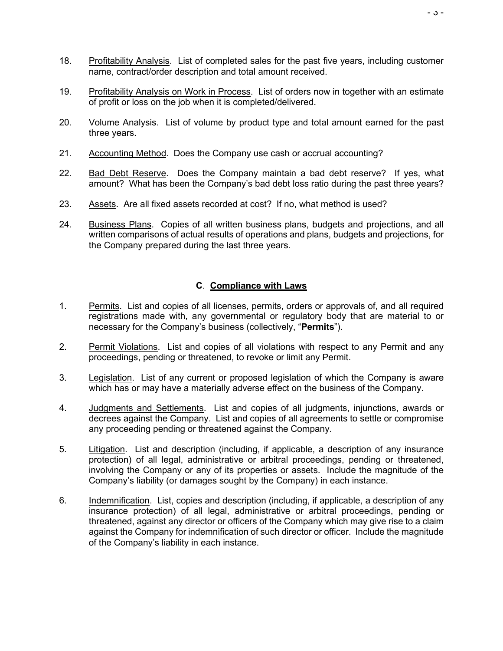- 18. Profitability Analysis. List of completed sales for the past five years, including customer name, contract/order description and total amount received.
- 19. Profitability Analysis on Work in Process. List of orders now in together with an estimate of profit or loss on the job when it is completed/delivered.
- 20. Volume Analysis. List of volume by product type and total amount earned for the past three years.
- 21. Accounting Method. Does the Company use cash or accrual accounting?
- 22. Bad Debt Reserve. Does the Company maintain a bad debt reserve? If ves. what amount? What has been the Company's bad debt loss ratio during the past three years?
- 23. Assets. Are all fixed assets recorded at cost? If no, what method is used?
- 24. Business Plans. Copies of all written business plans, budgets and projections, and all written comparisons of actual results of operations and plans, budgets and projections, for the Company prepared during the last three years.

#### **C**. **Compliance with Laws**

- 1. Permits. List and copies of all licenses, permits, orders or approvals of, and all required registrations made with, any governmental or regulatory body that are material to or necessary for the Company's business (collectively, "**Permits**").
- 2. Permit Violations. List and copies of all violations with respect to any Permit and any proceedings, pending or threatened, to revoke or limit any Permit.
- 3. Legislation. List of any current or proposed legislation of which the Company is aware which has or may have a materially adverse effect on the business of the Company.
- 4. Judgments and Settlements. List and copies of all judgments, injunctions, awards or decrees against the Company. List and copies of all agreements to settle or compromise any proceeding pending or threatened against the Company.
- 5. Litigation. List and description (including, if applicable, a description of any insurance protection) of all legal, administrative or arbitral proceedings, pending or threatened, involving the Company or any of its properties or assets. Include the magnitude of the Company's liability (or damages sought by the Company) in each instance.
- 6. Indemnification. List, copies and description (including, if applicable, a description of any insurance protection) of all legal, administrative or arbitral proceedings, pending or threatened, against any director or officers of the Company which may give rise to a claim against the Company for indemnification of such director or officer. Include the magnitude of the Company's liability in each instance.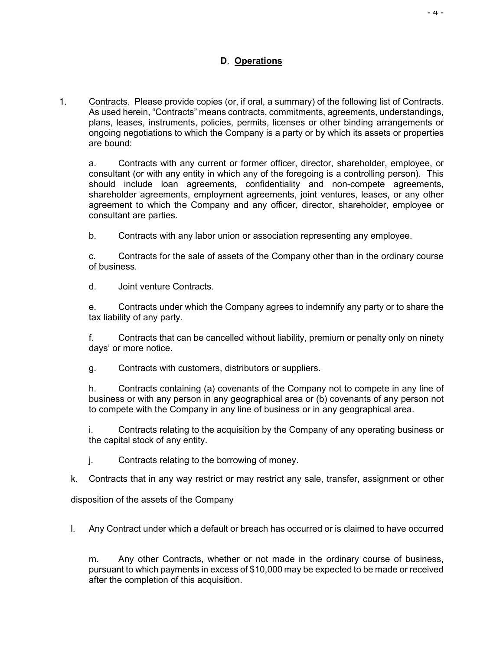### **D**. **Operations**

1. Contracts. Please provide copies (or, if oral, a summary) of the following list of Contracts. As used herein, "Contracts" means contracts, commitments, agreements, understandings, plans, leases, instruments, policies, permits, licenses or other binding arrangements or ongoing negotiations to which the Company is a party or by which its assets or properties are bound:

a. Contracts with any current or former officer, director, shareholder, employee, or consultant (or with any entity in which any of the foregoing is a controlling person). This should include loan agreements, confidentiality and non-compete agreements, shareholder agreements, employment agreements, joint ventures, leases, or any other agreement to which the Company and any officer, director, shareholder, employee or consultant are parties.

b. Contracts with any labor union or association representing any employee.

c. Contracts for the sale of assets of the Company other than in the ordinary course of business.

d. Joint venture Contracts.

e. Contracts under which the Company agrees to indemnify any party or to share the tax liability of any party.

f. Contracts that can be cancelled without liability, premium or penalty only on ninety days' or more notice.

g. Contracts with customers, distributors or suppliers.

h. Contracts containing (a) covenants of the Company not to compete in any line of business or with any person in any geographical area or (b) covenants of any person not to compete with the Company in any line of business or in any geographical area.

i. Contracts relating to the acquisition by the Company of any operating business or the capital stock of any entity.

j. Contracts relating to the borrowing of money.

k. Contracts that in any way restrict or may restrict any sale, transfer, assignment or other

disposition of the assets of the Company

l. Any Contract under which a default or breach has occurred or is claimed to have occurred

m. Any other Contracts, whether or not made in the ordinary course of business, pursuant to which payments in excess of \$10,000 may be expected to be made or received after the completion of this acquisition.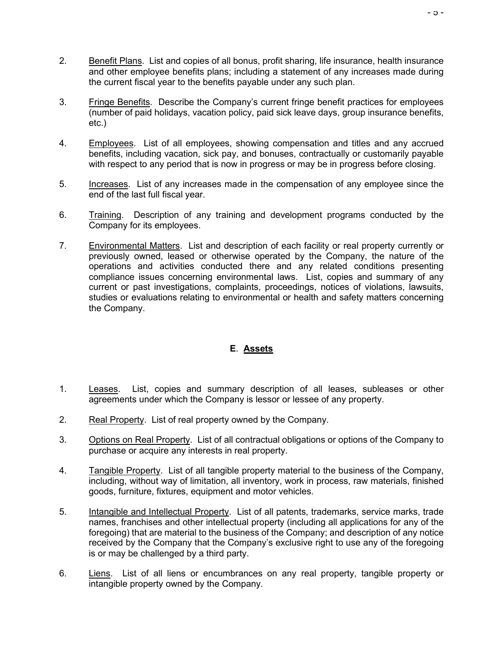- 2. Benefit Plans. List and copies of all bonus, profit sharing, life insurance, health insurance and other employee benefits plans; including a statement of any increases made during the current fiscal year to the benefits payable under any such plan.
- 3. Fringe Benefits. Describe the Company's current fringe benefit practices for employees (number of paid holidays, vacation policy, paid sick leave days, group insurance benefits, etc.)
- 4. Employees. List of all employees, showing compensation and titles and any accrued benefits, including vacation, sick pay, and bonuses, contractually or customarily payable with respect to any period that is now in progress or may be in progress before closing.
- 5. Increases. List of any increases made in the compensation of any employee since the end of the last full fiscal year.
- 6. Training. Description of any training and development programs conducted by the Company for its employees.
- 7. Environmental Matters. List and description of each facility or real property currently or previously owned, leased or otherwise operated by the Company, the nature of the operations and activities conducted there and any related conditions presenting compliance issues concerning environmental laws. List, copies and summary of any current or past investigations, complaints, proceedings, notices of violations, lawsuits, studies or evaluations relating to environmental or health and safety matters concerning the Company.

### **E**. **Assets**

- 1. Leases. List, copies and summary description of all leases, subleases or other agreements under which the Company is lessor or lessee of any property.
- 2. Real Property. List of real property owned by the Company.
- 3. Options on Real Property. List of all contractual obligations or options of the Company to purchase or acquire any interests in real property.
- 4. Tangible Property. List of all tangible property material to the business of the Company, including, without way of limitation, all inventory, work in process, raw materials, finished goods, furniture, fixtures, equipment and motor vehicles.
- 5. Intangible and Intellectual Property. List of all patents, trademarks, service marks, trade names, franchises and other intellectual property (including all applications for any of the foregoing) that are material to the business of the Company; and description of any notice received by the Company that the Company's exclusive right to use any of the foregoing is or may be challenged by a third party.
- 6. Liens. List of all liens or encumbrances on any real property, tangible property or intangible property owned by the Company.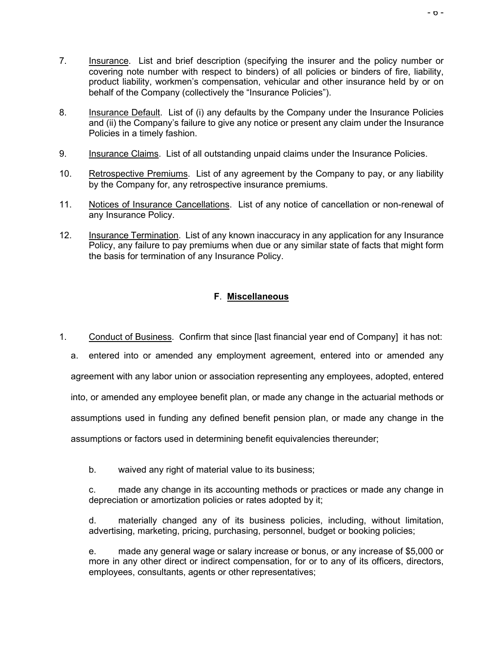- 8. Insurance Default. List of (i) any defaults by the Company under the Insurance Policies and (ii) the Company's failure to give any notice or present any claim under the Insurance Policies in a timely fashion.
- 9. Insurance Claims. List of all outstanding unpaid claims under the Insurance Policies.
- 10. Retrospective Premiums. List of any agreement by the Company to pay, or any liability by the Company for, any retrospective insurance premiums.
- 11. Notices of Insurance Cancellations. List of any notice of cancellation or non-renewal of any Insurance Policy.
- 12. Insurance Termination. List of any known inaccuracy in any application for any Insurance Policy, any failure to pay premiums when due or any similar state of facts that might form the basis for termination of any Insurance Policy.

# **F**. **Miscellaneous**

1. Conduct of Business. Confirm that since [last financial year end of Company] it has not:

a. entered into or amended any employment agreement, entered into or amended any agreement with any labor union or association representing any employees, adopted, entered into, or amended any employee benefit plan, or made any change in the actuarial methods or assumptions used in funding any defined benefit pension plan, or made any change in the assumptions or factors used in determining benefit equivalencies thereunder;

b. waived any right of material value to its business;

c. made any change in its accounting methods or practices or made any change in depreciation or amortization policies or rates adopted by it;

d. materially changed any of its business policies, including, without limitation, advertising, marketing, pricing, purchasing, personnel, budget or booking policies;

e. made any general wage or salary increase or bonus, or any increase of \$5,000 or more in any other direct or indirect compensation, for or to any of its officers, directors, employees, consultants, agents or other representatives;